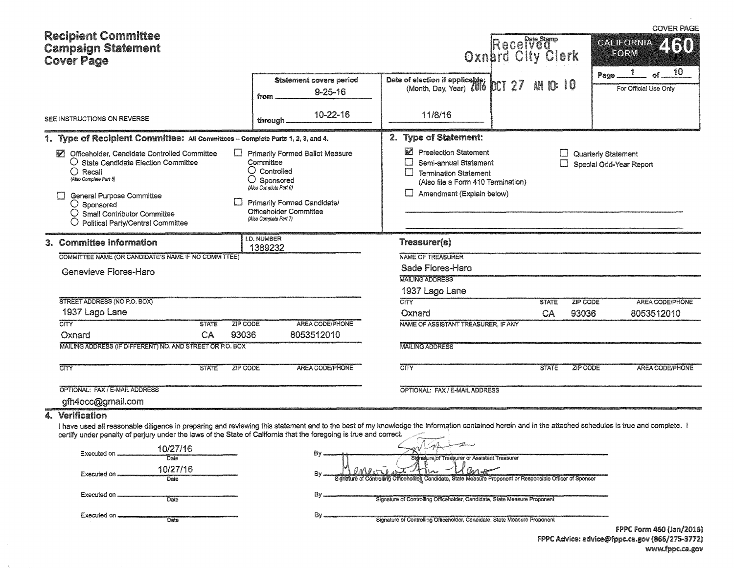| <b>Recipient Committee</b>                                                                                                                                                                                                                                                                                                                     |                                                                                                                                                                                                                          |                                                                                                                                                                  |                                          | <b>COVER PAGE</b>                              |  |  |  |  |
|------------------------------------------------------------------------------------------------------------------------------------------------------------------------------------------------------------------------------------------------------------------------------------------------------------------------------------------------|--------------------------------------------------------------------------------------------------------------------------------------------------------------------------------------------------------------------------|------------------------------------------------------------------------------------------------------------------------------------------------------------------|------------------------------------------|------------------------------------------------|--|--|--|--|
| <b>Campaign Statement</b><br><b>Cover Page</b>                                                                                                                                                                                                                                                                                                 |                                                                                                                                                                                                                          |                                                                                                                                                                  | Recefver re<br>Oxnard City Clerk         | CALIFORNIA<br>FORM                             |  |  |  |  |
|                                                                                                                                                                                                                                                                                                                                                | <b>Statement covers period</b><br>$9 - 25 - 16$<br>from                                                                                                                                                                  | Date of election if applicable;<br>(Month, Day, Year)                                                                                                            | $\mathfrak{w}$ 10<br><b>DCT 27</b><br>AN | 10<br>пf<br>Page.<br>For Official Use Only     |  |  |  |  |
| SEE INSTRUCTIONS ON REVERSE                                                                                                                                                                                                                                                                                                                    | 10-22-16<br>through.                                                                                                                                                                                                     | 11/8/16                                                                                                                                                          |                                          |                                                |  |  |  |  |
| 1. Type of Recipient Committee: All Committees - Complete Parts 1, 2, 3, and 4.                                                                                                                                                                                                                                                                |                                                                                                                                                                                                                          | 2. Type of Statement:                                                                                                                                            |                                          |                                                |  |  |  |  |
| M Officeholder, Candidate Controlled Committee<br>$\mathbf{I}$<br>O State Candidate Election Committee<br>$\bigcirc$ Recall<br>(Also Complete Part 5)<br>General Purpose Committee<br>11<br>$\bigcirc$ Sponsored<br>$\bigcirc$ Small Contributor Committee<br>O Political Party/Central Committee                                              | <b>Primarily Formed Ballot Measure</b><br>Committee<br>$\bigcirc$ Controlled<br>$\bigcirc$ Sponsored<br>(Also Complete Part 6)<br><b>Primarily Formed Candidate/</b><br>Officeholder Committee<br>(Also Complete Part 7) | Preelection Statement<br>Semi-annual Statement<br>$\Box$<br><b>Termination Statement</b><br>(Also file a Form 410 Termination)<br>Amendment (Explain below)<br>Ш |                                          | Quarterly Statement<br>Special Odd-Year Report |  |  |  |  |
| 3. Committee Information                                                                                                                                                                                                                                                                                                                       | <b>I.D. NUMBER</b><br>1389232                                                                                                                                                                                            | Treasurer(s)                                                                                                                                                     |                                          |                                                |  |  |  |  |
| COMMITTEE NAME (OR CANDIDATE'S NAME IF NO COMMITTEE)                                                                                                                                                                                                                                                                                           |                                                                                                                                                                                                                          | NAME OF TREASURER                                                                                                                                                |                                          |                                                |  |  |  |  |
|                                                                                                                                                                                                                                                                                                                                                |                                                                                                                                                                                                                          | Sade Flores-Haro                                                                                                                                                 |                                          |                                                |  |  |  |  |
| Genevieve Flores-Haro                                                                                                                                                                                                                                                                                                                          |                                                                                                                                                                                                                          | <b>MAILING ADDRESS</b>                                                                                                                                           |                                          |                                                |  |  |  |  |
|                                                                                                                                                                                                                                                                                                                                                |                                                                                                                                                                                                                          | 1937 Lago Lane                                                                                                                                                   |                                          |                                                |  |  |  |  |
| STREET ADDRESS (NO P.O. BOX)                                                                                                                                                                                                                                                                                                                   |                                                                                                                                                                                                                          | <b>CITY</b>                                                                                                                                                      | <b>STATE</b>                             | ZIP CODE<br>AREA CODE/PHONE                    |  |  |  |  |
| 1937 Lago Lane                                                                                                                                                                                                                                                                                                                                 |                                                                                                                                                                                                                          | Oxnard                                                                                                                                                           | CA                                       | 93036<br>8053512010                            |  |  |  |  |
| <b>CITY</b><br>ZIP CODE<br><b>STATE</b>                                                                                                                                                                                                                                                                                                        | AREA CODE/PHONE                                                                                                                                                                                                          | NAME OF ASSISTANT TREASURER. IF ANY                                                                                                                              |                                          |                                                |  |  |  |  |
| 93036<br>Oxnard<br>CA                                                                                                                                                                                                                                                                                                                          | 8053512010                                                                                                                                                                                                               |                                                                                                                                                                  |                                          |                                                |  |  |  |  |
| MAILING ADDRESS (IF DIFFERENT) NO. AND STREET OR P.O. BOX                                                                                                                                                                                                                                                                                      |                                                                                                                                                                                                                          | <b>MAILING ADDRESS</b>                                                                                                                                           |                                          |                                                |  |  |  |  |
| $\overline{\text{C}^{\text{HTY}}$<br><b>STATE</b><br>ZIP CODE                                                                                                                                                                                                                                                                                  | AREA CODE/PHONE                                                                                                                                                                                                          | $\overline{\text{CITY}}$                                                                                                                                         | <b>STATE</b>                             | <b>ZIP CODE</b><br><b>AREA CODE/PHONE</b>      |  |  |  |  |
| OPTIONAL: FAX / E-MAIL ADDRESS                                                                                                                                                                                                                                                                                                                 |                                                                                                                                                                                                                          | OPTIONAL: FAX / E-MAIL ADDRESS                                                                                                                                   |                                          |                                                |  |  |  |  |
| gfh4occ@gmail.com                                                                                                                                                                                                                                                                                                                              |                                                                                                                                                                                                                          |                                                                                                                                                                  |                                          |                                                |  |  |  |  |
| 4. Verification<br>I have used all reasonable diligence in preparing and reviewing this statement and to the best of my knowledge the information contained herein and in the attached schedules is true and complete. I<br>certify under penalty of perjury under the laws of the State of California that the foregoing is true and correct. |                                                                                                                                                                                                                          |                                                                                                                                                                  |                                          |                                                |  |  |  |  |
| 10/27/16<br>Executed on<br>$\overline{\text{Date}}$                                                                                                                                                                                                                                                                                            | Βγ.                                                                                                                                                                                                                      | Sidnature/of Treasurer or Assistant Treasurer                                                                                                                    |                                          |                                                |  |  |  |  |
| 10/27/16<br>Executed on.<br>Date                                                                                                                                                                                                                                                                                                               | aveni<br>Βv.                                                                                                                                                                                                             | Sidnature of Controlling Officeholdel, Candidate, State Measure Proponent or Responsible Officer of Sponsor                                                      |                                          |                                                |  |  |  |  |

|  | By Signature of Controlling Officeholder, Candidate, State Measure Proponent or Responsible Officer of Sponsor |
|--|----------------------------------------------------------------------------------------------------------------|
|  |                                                                                                                |
|  | Signature of Controlling Officeholder, Candidate, State Measure Proponent                                      |

Executed on Date

Executed on **Constitution** 

By <br>Signature of Controlling Officeholder, Candidate, State Measure Proponent<br>FPPC Form 460 (Jan/2016) FPPC Advice: advice@fppc.ca.gov (866/275-3772) www.fppc.ca.gov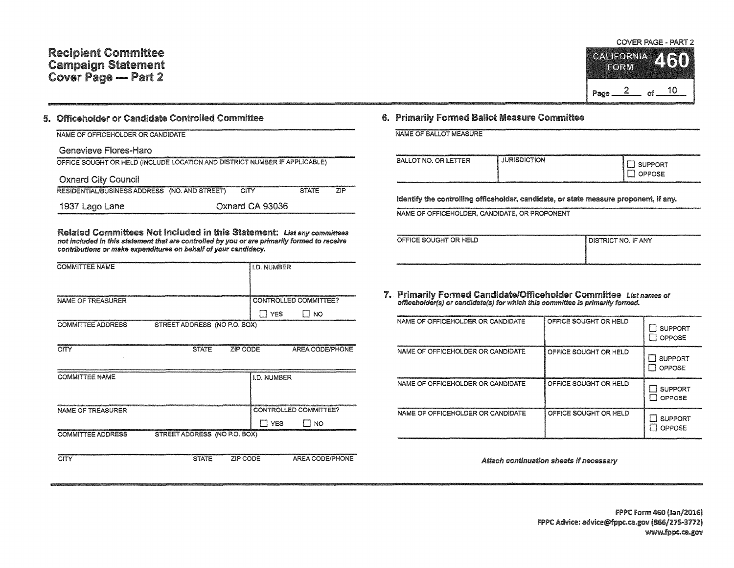## Recipient Committee Campaign Statement Cover Page - Part 2

COVER PAGE • PART 2 **CALIFORNIA** RI 74 I **EORM** 

Page  $2$  of  $10$ 

## 5. Officeholder or Candidate Committee

| NAME OF OFFICEHOLDER OR CANDIDATE                                          |                 |              |            |
|----------------------------------------------------------------------------|-----------------|--------------|------------|
| Genevieve Flores-Haro                                                      |                 |              |            |
| OFFICE SOUGHT OR HELD (INCLUDE LOCATION AND DISTRICT NUMBER IF APPLICABLE) |                 |              |            |
| <b>Oxnard City Council</b>                                                 |                 |              |            |
| RESIDENTIAL/BUSINESS ADDRESS (NO. AND STREET)                              | CITY            | <b>STATE</b> | <b>71P</b> |
| 1937 Lago Lane                                                             | Oxnard CA 93036 |              |            |

Related Committees Not Included in this Statement: List any committees not included in this statement that are controlled by you or are primarily formed to receive contributions or make expenditures on behalf of your candidacy.

| <b>COMMITTEE NAME</b>    |                              | <b>I.D. NUMBER</b>           |           |
|--------------------------|------------------------------|------------------------------|-----------|
| NAME OF TREASURER        |                              | CONTROLLED COMMITTEE?<br>YFS | <b>NO</b> |
| <b>COMMITTEE ADDRESS</b> | STREET ADDRESS (NO P.O. BOX) |                              |           |

| CITY                     | <b>STATE</b>                 | ZIP CODE           | AREA CODE/PHONE         |
|--------------------------|------------------------------|--------------------|-------------------------|
|                          |                              |                    |                         |
| <b>COMMITTEE NAME</b>    |                              | <b>I.D. NUMBER</b> |                         |
|                          |                              |                    |                         |
| NAME OF TREASURER        |                              |                    | CONTROLLED COMMITTEE?   |
|                          |                              |                    | <b>NO</b><br><b>YES</b> |
| <b>COMMITTEE ADDRESS</b> | STREET ADDRESS (NO P.O. BOX) |                    |                         |
|                          |                              |                    |                         |
| CITY                     | <b>STATE</b>                 | ZIP CODE           | AREA CODE/PHONE         |

## 6. Primarily Formed Ballot Measure Committee

| BALLOT NO. OR LETTER | <b>JURISDICTION</b> | <b>I SUPPORT</b><br><b>OPPOSE</b> |
|----------------------|---------------------|-----------------------------------|
|----------------------|---------------------|-----------------------------------|

Identify the controlling officeholder, candidate, or state measure proponent, if any.

NAME OF OFFICEHOLDER, CANDIDATE, OR PROPONENT

| OFFICE SOUGHT OR HELD | Í DISTRICT NO. IF ANY |
|-----------------------|-----------------------|
|                       |                       |

7. Primarily Formed Candidate/Officeholder Committee List names of officenology of the other committee is primarily formed.

| NAME OF OFFICEHOLDER OR CANDIDATE | OFFICE SOUGHT OR HELD | <b>SUPPORT</b><br>OPPOSE       |
|-----------------------------------|-----------------------|--------------------------------|
| NAME OF OFFICEHOLDER OR CANDIDATE | OFFICE SOUGHT OR HELD | <b>SUPPORT</b><br>OPPOSE<br>-3 |
| NAME OF OFFICEHOLDER OR CANDIDATE | OFFICE SOUGHT OR HELD | <b>SUPPORT</b><br>OPPOSE       |
| NAME OF OFFICEHOLDER OR CANDIDATE | OFFICE SOUGHT OR HELD | <b>SUPPORT</b><br>OPPOSE       |

Attach continuation sheets if necessary

FPPC Form 460 (Jan/2016) FPPC Advice: advice@fppc.ca.gov (866/275-3772) www.fppc.ca.gov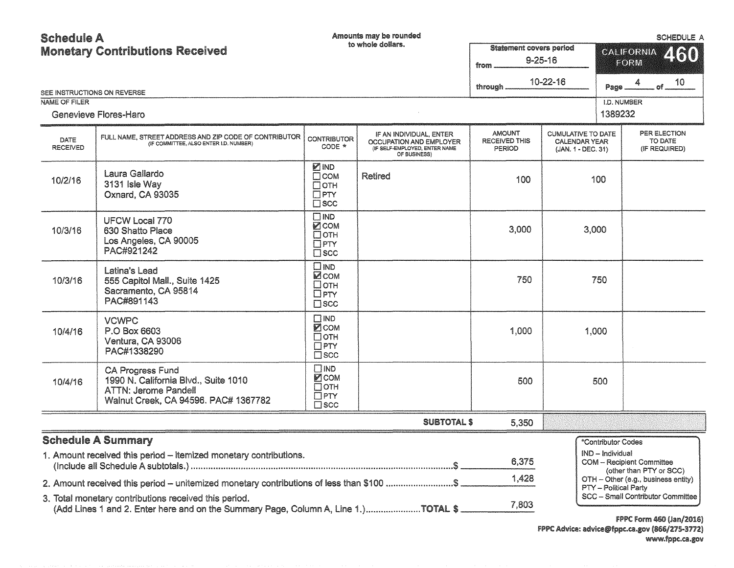| <b>Schedule A</b>                      |                                                                                                                                             | Amounts may be rounded                                                     |                                                                                                     | SCHEDULE A                                              |                                                                  |                                  |                                                             |  |
|----------------------------------------|---------------------------------------------------------------------------------------------------------------------------------------------|----------------------------------------------------------------------------|-----------------------------------------------------------------------------------------------------|---------------------------------------------------------|------------------------------------------------------------------|----------------------------------|-------------------------------------------------------------|--|
| <b>Monetary Contributions Received</b> |                                                                                                                                             |                                                                            | to whole dollars.                                                                                   | <b>Statement covers period</b><br>$9 - 25 - 16$<br>from |                                                                  | 460<br><b>CALIFORNIA</b><br>FORM |                                                             |  |
| SEE INSTRUCTIONS ON REVERSE            |                                                                                                                                             |                                                                            |                                                                                                     | through.                                                | $10 - 22 - 16$                                                   | Page                             | 10<br>۵f                                                    |  |
| <b>NAME OF FILER</b>                   |                                                                                                                                             |                                                                            |                                                                                                     |                                                         |                                                                  | I.D. NUMBER                      |                                                             |  |
|                                        | Genevieve Flores-Haro                                                                                                                       |                                                                            |                                                                                                     |                                                         |                                                                  | 1389232                          |                                                             |  |
| <b>DATE</b><br><b>RECEIVED</b>         | FULL NAME, STREET ADDRESS AND ZIP CODE OF CONTRIBUTOR<br>(IF COMMITTEE, ALSO ENTER I.D. NUMBER)                                             | <b>CONTRIBUTOR</b><br>CODE *                                               | IF AN INDIVIDUAL, ENTER<br>OCCUPATION AND EMPLOYER<br>(IF SELF-EMPLOYED, ENTER NAME<br>OF BUSINESS) | <b>AMOUNT</b><br><b>RECEIVED THIS</b><br>PERIOD         | <b>CUMULATIVE TO DATE</b><br>CALENDAR YEAR<br>(JAN. 1 - DEC. 31) |                                  | PER ELECTION<br>TO DATE<br>(IF REQUIRED)                    |  |
| 10/2/16                                | Laura Gallardo<br>3131 Isle Way<br>Oxnard, CA 93035                                                                                         | <b>⊘</b> IND<br>$\Box$ COM<br>Потн<br>$\Box$ PTY<br>$\square$ scc          | <b>Retired</b>                                                                                      | 100                                                     |                                                                  | 100                              |                                                             |  |
| 10/3/16                                | <b>UFCW Local 770</b><br>630 Shatto Place<br>Los Angeles, CA 90005<br>PAC#921242                                                            | $\square$ IND<br><b>MCOM</b><br>$\Box$ OTH<br>$\Box$ PTY<br>$\Box$ scc     |                                                                                                     | 3,000                                                   | 3,000                                                            |                                  |                                                             |  |
| 10/3/16                                | Latina's Lead<br>555 Capitol Mall., Suite 1425<br>Sacramento, CA 95814<br>PAC#891143                                                        | $\square$ IND<br><b>ZCOM</b><br>□отн<br>$\Box$ PTY<br>$\square$ scc        |                                                                                                     | 750                                                     |                                                                  | 750                              |                                                             |  |
| 10/4/16                                | <b>VCWPC</b><br>P.O Box 6603<br>Ventura, CA 93006<br>PAC#1338290                                                                            | $\square$ IND<br><b>Ø</b> COM<br>$\square$ отн<br>$\Box$ PTY<br>$\Box$ SCC |                                                                                                     | 1,000                                                   |                                                                  | 1,000                            |                                                             |  |
| 10/4/16                                | <b>CA Progress Fund</b><br>1990 N. California Blvd., Suite 1010<br><b>ATTN: Jerome Pandell</b><br>Walnut Creek, CA 94596. PAC# 1367782      | $\square$ IND<br><b>⊠</b> COM<br>$\square$ oth<br>$\Box$ PTY<br>$\Box$ scc |                                                                                                     | 500                                                     |                                                                  | 500                              |                                                             |  |
|                                        |                                                                                                                                             |                                                                            | <b>SUBTOTAL \$</b>                                                                                  | 5,350                                                   |                                                                  |                                  |                                                             |  |
|                                        | <b>Schedule A Summary</b>                                                                                                                   |                                                                            |                                                                                                     |                                                         |                                                                  | *Contributor Codes               |                                                             |  |
|                                        | 1. Amount received this period - itemized monetary contributions.                                                                           |                                                                            |                                                                                                     | 6,375                                                   |                                                                  | IND - Individual                 | <b>COM</b> - Recipient Committee<br>(other than PTY or SCC) |  |
|                                        | 2. Amount received this period - unitemized monetary contributions of less than \$100 \$                                                    |                                                                            |                                                                                                     | 1,428                                                   |                                                                  | PTY - Political Party            | OTH - Other (e.g., business entity)                         |  |
|                                        | 3. Total monetary contributions received this period.<br>(Add Lines 1 and 2. Enter here and on the Summary Page, Column A, Line 1.)TOTAL \$ |                                                                            |                                                                                                     | 7,803                                                   |                                                                  |                                  | SCC - Small Contributor Committee                           |  |

FPPC Form 460 (Jan/2016) FPPC Advice: advice@fppc.ca.gov (866/275-3772)<br>www.fppc.ca.gov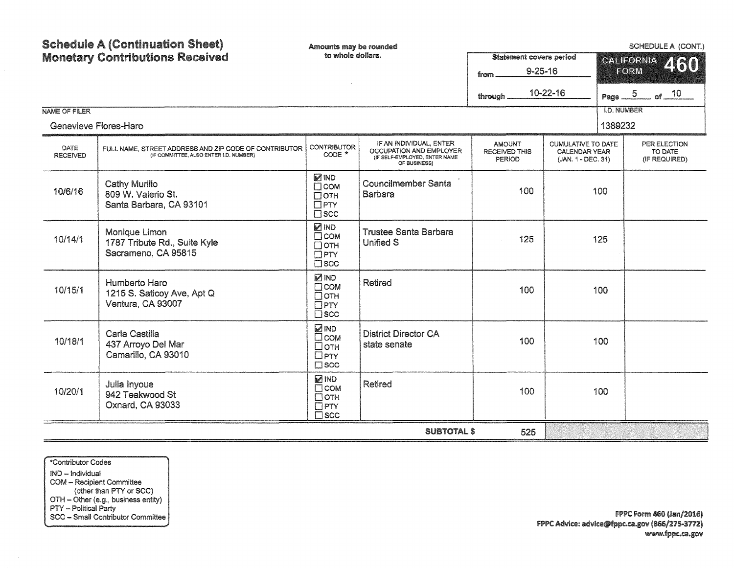| NAME OF FILER           | <b>Schedule A (Continuation Sheet)</b><br><b>Monetary Contributions Received</b>                | Amounts may be rounded<br>to whole dollars.                              |                                                                                                     | <b>Statement covers period</b><br>$9 - 25 - 16$<br>from<br>through | 10-22-16                                                                | Page $-5$<br><b>I.D. NUMBER</b> | <b>SCHEDULE A (CONT.)</b><br><b>CALIFORNIA</b><br><b>FORM</b><br>of $10$ | 460 |
|-------------------------|-------------------------------------------------------------------------------------------------|--------------------------------------------------------------------------|-----------------------------------------------------------------------------------------------------|--------------------------------------------------------------------|-------------------------------------------------------------------------|---------------------------------|--------------------------------------------------------------------------|-----|
| Genevieve Flores-Haro   |                                                                                                 |                                                                          |                                                                                                     |                                                                    |                                                                         | 1389232                         |                                                                          |     |
| DATE<br><b>RECEIVED</b> | FULL NAME, STREET ADDRESS AND ZIP CODE OF CONTRIBUTOR<br>(IF COMMITTEE, ALSO ENTER I.D. NUMBER) | <b>CONTRIBUTOR</b><br>$CODE *$                                           | IF AN INDIVIDUAL, ENTER<br>OCCUPATION AND EMPLOYER<br>(IF SELF-EMPLOYED, ENTER NAME<br>OF BUSINESS) | <b>AMOUNT</b><br><b>RECEIVED THIS</b><br><b>PERIOD</b>             | <b>CUMULATIVE TO DATE</b><br><b>CALENDAR YEAR</b><br>(JAN. 1 - DEC. 31) |                                 | PER ELECTION<br>TO DATE<br>(IF REQUIRED)                                 |     |
| 10/6/16                 | Cathy Murillo<br>809 W. Valerio St.<br>Santa Barbara, CA 93101                                  | <b>ZIND</b><br>$\Box$ COM<br>$\Box$ OTH<br>$\Box$ PTY<br>$\square$ scc   | <b>Councilmember Santa</b><br><b>Barbara</b>                                                        | 100                                                                |                                                                         | 100                             |                                                                          |     |
| 10/14/1                 | Monique Limon<br>1787 Tribute Rd., Suite Kyle<br>Sacrameno, CA 95815                            | <b>MIND</b><br>$\Box$ COM<br>□отн<br>$\Box$ PTY<br>$\Box$ scc            | <b>Trustee Santa Barbara</b><br><b>Unified S</b>                                                    | 125                                                                |                                                                         | 125                             |                                                                          |     |
| 10/15/1                 | Humberto Haro<br>1215 S. Saticoy Ave, Apt Q<br>Ventura, CA 93007                                | <b>MID</b><br>$\square$ COM<br>$\Box$ OTH<br>$\Box$ PTY<br>$\square$ scc | <b>Retired</b>                                                                                      | 100                                                                |                                                                         | 100                             |                                                                          |     |
| 10/18/1                 | Carla Castilla<br>437 Arroyo Del Mar<br>Camarillo, CA 93010                                     | <b>ZIND</b><br>$\square$ COM<br>Потн<br>$\Box$ PTY<br>$\square$ scc      | <b>District Director CA</b><br>state senate                                                         | 100                                                                |                                                                         | 100                             |                                                                          |     |
| 10/20/1                 | Julia Inyoue<br>942 Teakwood St<br>Oxnard, CA 93033                                             | <b>MIND</b><br>$\square$ COM<br>□отн<br>$\Box$ PTY<br>$\square$ scc      | <b>Retired</b>                                                                                      | 100                                                                |                                                                         | 100                             |                                                                          |     |
|                         |                                                                                                 |                                                                          | <b>SUBTOTAL \$</b>                                                                                  | 525                                                                |                                                                         |                                 |                                                                          |     |

\*Contributor Codes IND - Individual COM - Recipient Committee Com – Recipient Committee<br>
(other than PTY or SCC)<br>
OTH – Other (e.g., business entity)<br>
PTY – Political Party<br>
SCC – Small Contributor Committee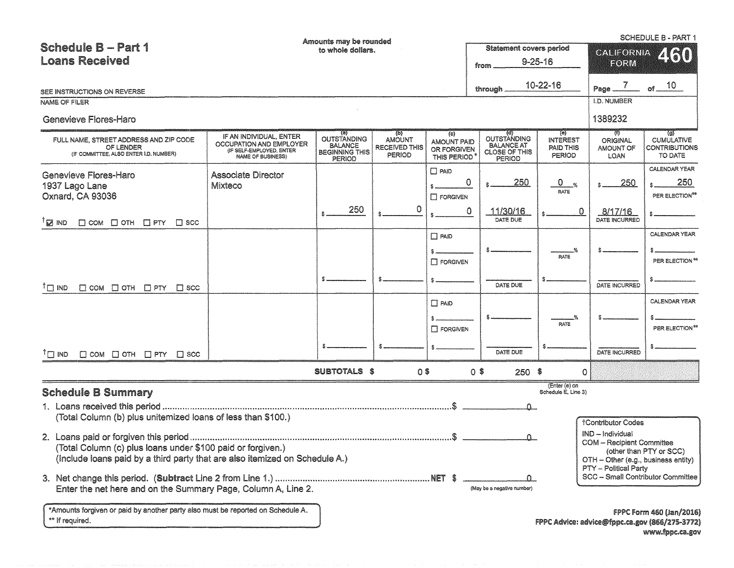|                                                                                                                                            |                                                                                                     | Amounts may be rounded                                                  |                                                               |                                                         |                                                                           |                                                              |                                            | <b>SCHEDULE B - PART 1</b>                                                                           |
|--------------------------------------------------------------------------------------------------------------------------------------------|-----------------------------------------------------------------------------------------------------|-------------------------------------------------------------------------|---------------------------------------------------------------|---------------------------------------------------------|---------------------------------------------------------------------------|--------------------------------------------------------------|--------------------------------------------|------------------------------------------------------------------------------------------------------|
| <b>Schedule B - Part 1</b>                                                                                                                 | <b>Statement covers period</b><br>to whole dollars.                                                 |                                                                         |                                                               | <b>CALFORNIA</b>                                        | 2160                                                                      |                                                              |                                            |                                                                                                      |
| <b>Loans Received</b>                                                                                                                      |                                                                                                     |                                                                         |                                                               |                                                         | from                                                                      | $9 - 25 - 16$                                                | EORM                                       |                                                                                                      |
| SEE INSTRUCTIONS ON REVERSE                                                                                                                |                                                                                                     |                                                                         |                                                               |                                                         | through                                                                   | 10-22-16                                                     | Page $\frac{7}{2}$ of $\frac{10}{2}$       |                                                                                                      |
| <b>NAME OF FILER</b>                                                                                                                       |                                                                                                     |                                                                         |                                                               |                                                         |                                                                           |                                                              | <b>I.D. NUMBER</b>                         |                                                                                                      |
| <b>Genevieve Flores-Haro</b>                                                                                                               |                                                                                                     |                                                                         |                                                               |                                                         |                                                                           |                                                              | 1389232                                    |                                                                                                      |
| FULL NAME, STREET ADDRESS AND ZIP CODE<br>OF LENDER<br>(IF COMMITTEE, ALSO ENTER I.D. NUMBER)                                              | IF AN INDIVIDUAL, ENTER<br>OCCUPATION AND EMPLOYER<br>(IF SELF-EMPLOYED, ENTER<br>NAME OF BUSINESS) | OUTSTANDING<br><b>BALANCE</b><br><b>BEGINNING THIS</b><br><b>PERIOD</b> | (D)<br><b>AMOUNT</b><br><b>RECEIVED THIS</b><br><b>PERIOD</b> | (c)<br><b>AMOUNT PAID</b><br>OR FORGIVEN<br>THIS PERIOD | OUTSTANDING<br><b>BALANCE AT</b><br><b>CLOSE OF THIS</b><br><b>PERIOD</b> | (e)<br>INTEREST<br><b>PAID THIS</b><br><b>PERIOD</b>         | U)<br><b>ORIGINAL</b><br>AMOUNT OF<br>LOAN | $\left( 9\right)$<br><b>CUMULATIVE</b><br><b>CONTRIBUTIONS</b><br>TO DATE                            |
| <b>Genevieve Flores-Haro</b><br>1937 Lago Lane<br>Oxnard, CA 93036                                                                         | <b>Associate Director</b><br>Mixteco                                                                | 250                                                                     | 0                                                             | $\Box$ PAID<br>$\square$ FORGIVEN                       | 250<br>0                                                                  | $\mathbf{0}$<br>$\frac{1}{2}$<br>RATE                        | 250                                        | CALENDAR YEAR<br>250<br>PER ELECTION <sup>**</sup>                                                   |
| †⊠ lND<br>$\Box$ COM $\Box$ OTH $\Box$ PTY $\Box$ SCC                                                                                      |                                                                                                     |                                                                         |                                                               |                                                         | $\circ$<br>11/30/16<br>DATE DUE                                           | 0                                                            | 8/17/16<br>DATE INCURRED                   |                                                                                                      |
|                                                                                                                                            |                                                                                                     |                                                                         |                                                               | $\Box$ PAID<br>S.<br><b>IT FORGIVEN</b>                 |                                                                           | RATE                                                         |                                            | CALENDAR YEAR<br>PER ELECTION**                                                                      |
| $\Box$ COM $\Box$ OTH $\Box$ PTY $\Box$ SCC<br>$T \square$ ND                                                                              |                                                                                                     |                                                                         |                                                               |                                                         | DATE DUE                                                                  |                                                              | DATE INCURRED                              |                                                                                                      |
|                                                                                                                                            |                                                                                                     |                                                                         |                                                               | $\Box$ PAID<br>$\Box$ FORGIVEN                          |                                                                           | <b>RATE</b>                                                  |                                            | CALENDAR YEAR<br>PER ELECTION**                                                                      |
| $\Box$ COM $\Box$ OTH $\Box$ PTY $\Box$ SCC<br><sup>T</sup> ITI IND                                                                        |                                                                                                     |                                                                         |                                                               |                                                         | DATE DUE                                                                  |                                                              | DATE INCURRED                              |                                                                                                      |
|                                                                                                                                            |                                                                                                     | SUBTOTALS \$                                                            | $0$ \$                                                        |                                                         | $0$ \$<br>$250$ \$                                                        | $\circ$                                                      |                                            |                                                                                                      |
| <b>Schedule B Summary</b>                                                                                                                  |                                                                                                     |                                                                         |                                                               |                                                         | $\Omega$                                                                  | (Enter (e) on<br>Schedule E, Line 3)                         |                                            |                                                                                                      |
| (Total Column (b) plus unitemized loans of less than \$100.)<br>†Contributor Codes<br>IND - Individual<br><b>COM</b> - Recipient Committee |                                                                                                     |                                                                         |                                                               |                                                         |                                                                           |                                                              |                                            |                                                                                                      |
| (Total Column (c) plus loans under \$100 paid or forgiven.)<br>(Include loans paid by a third party that are also itemized on Schedule A.) |                                                                                                     |                                                                         |                                                               |                                                         | OTH - Other (e.g., business entity)<br>PTY - Political Party              | (other than PTY or SCC)<br>SCC - Small Contributor Committee |                                            |                                                                                                      |
| Enter the net here and on the Summary Page, Column A, Line 2.                                                                              |                                                                                                     |                                                                         |                                                               |                                                         | (May be a negative number)                                                |                                                              |                                            |                                                                                                      |
| *Amounts forgiven or paid by another party also must be reported on Schedule A.<br>** If required.                                         |                                                                                                     |                                                                         |                                                               |                                                         |                                                                           |                                                              |                                            | <b>FPPC Form 460 (Jan/2016)</b><br>FPPC Advice: advice@fppc.ca.gov (866/275-3772)<br>www.fppc.ca.gov |